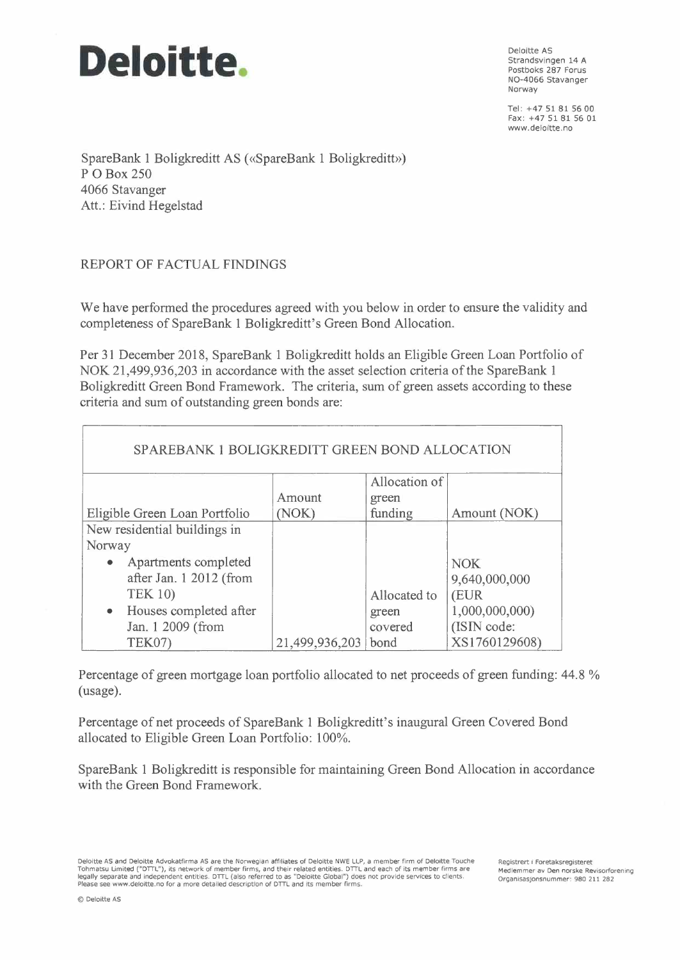## **Deloitte.**

Deloitte AS Strandsvingen 14 A Postboks 287 Forus N0-4066 Stavanger Norway

Tel: +47 51 81 56 00 Fax: +47 51 81 56 01 www.deloitte.no

SpareBank 1 Boligkreditt AS («SpareBank 1 Boligkreditt») PO Box 250 4066 Stavanger Att.: Eivind Hegelstad

## REPORT OF FACTUAL FINDINGS

We have performed the procedures agreed with you below in order to ensure the validity and completeness of SpareBank 1 Boligkreditt's Green Bond Allocation.

Per 31 December 2018, SpareBank 1 Boligkreditt holds an Eligible Green Loan Portfolio of NOK 21,499,936,203 in accordance with the asset selection criteria of the SpareBank **<sup>1</sup>** Boligkreditt Green Bond Framework. The criteria, sum of green assets according to these criteria and sum of outstanding green bonds are:

| SPAREBANK 1 BOLIGKREDITT GREEN BOND ALLOCATION |                |               |                |
|------------------------------------------------|----------------|---------------|----------------|
|                                                |                |               |                |
|                                                |                | Allocation of |                |
|                                                | Amount         | green         |                |
| Eligible Green Loan Portfolio                  | (NOK)          | funding       | Amount (NOK)   |
| New residential buildings in                   |                |               |                |
| Norway                                         |                |               |                |
| Apartments completed<br>$\bullet$              |                |               | <b>NOK</b>     |
| after Jan. 1 2012 (from                        |                |               | 9,640,000,000  |
| <b>TEK 10)</b>                                 |                | Allocated to  | (EUR           |
| • Houses completed after                       |                | green         | 1,000,000,000) |
| Jan. 1 2009 (from                              |                | covered       | (ISIN code:    |
| <b>TEK07)</b>                                  | 21,499,936,203 | bond          | XS1760129608)  |

Percentage of green mortgage loan portfolio allocated to net proceeds of green funding: 44.8 % (usage).

Percentage of net proceeds of SpareBank 1 Boligkreditt's inaugural Green Covered Bond allocated to Eligible Green Loan Portfolio: 100%.

SpareBank 1 Boligkreditt is responsible for maintaining Green Bond Allocation in accordance with the Green Bond Framework.

**Deloitte AS and Deloitte Advokatfirma AS are the Norwegian affiliates of Deloitte NWE LLP, a member firm of Deloitte Touche**  Tohmatsu Limited ("DTTL"), its network of member firms, and their related entities. DTTL and each of its member firms are<br>legally separate and independent entities. DTTL (also referred to as "Deloitte Global") does not pro

**Registrert i Foretaksregisteret Medlemmer av Oen norske Revisorforening**  Organisasjonsnummer: 980 211 282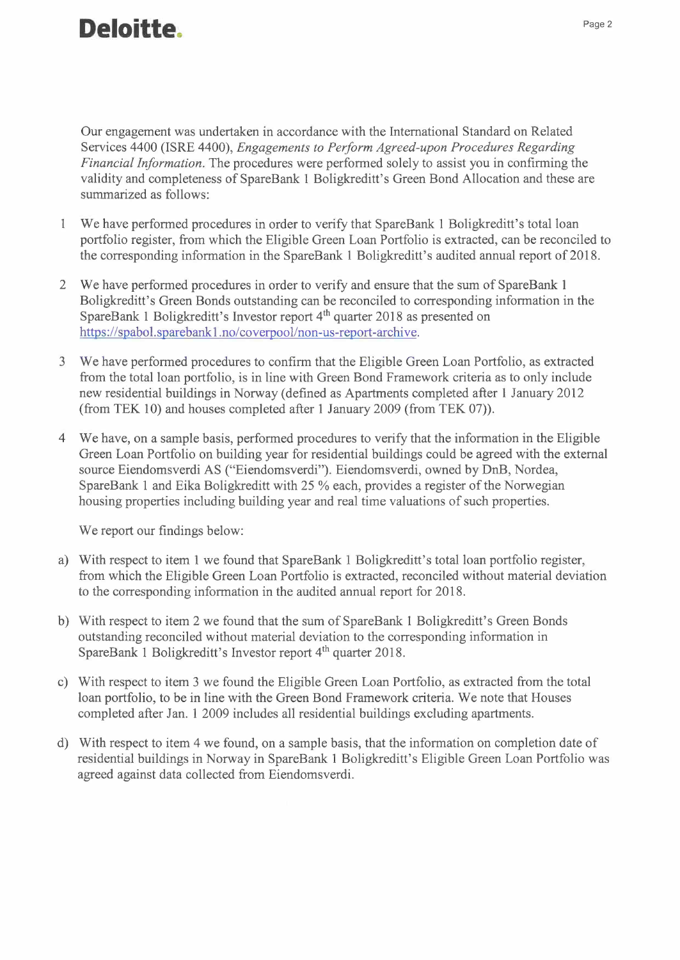## **Deloitte.**

Our engagement was undertaken in accordance with the International Standard on Related Services 4400 (ISRE 4400), *Engagements to Perform Agreed-upon Procedures Regarding Financial Information.* The procedures were performed solely to assist you in confirming the validity and completeness of SpareBank 1 Boligkreditt's Green Bond Allocation and these are summarized as follows:

- 1 We have performed procedures in order to verify that SpareBank 1 Boligkreditt's total loan portfolio register, from which the Eligible Green Loan Portfolio is extracted, can be reconciled to the corresponding information in the SpareBank 1 Boligkreditt's audited annual report of 2018.
- 2 We have performed procedures in order to verify and ensure that the sum of SpareBank 1 Boligkreditt's Green Bonds outstanding can be reconciled to corresponding information in the SpareBank 1 Boligkreditt's Investor report 4<sup>th</sup> quarter 2018 as presented on https://spabol.sparebankl .no/coverpool/non-us-report-archive.
- 3 We have performed procedures to confirm that the Eligible Green Loan Portfolio, as extracted from the total loan portfolio, is in line with Green Bond Framework criteria as to only include new residential buildings in Norway (defined as Apartments completed after 1 January 2012 (from TEK 10) and houses completed after 1 January 2009 (from TEK 07)).
- 4 We have, on a sample basis, performed procedures to verify that the information in the Eligible Green Loan Portfolio on building year for residential buildings could be agreed with the external source Eiendomsverdi AS ("Eiendomsverdi"). Eiendomsverdi, owned by DnB, Nordea, SpareBank 1 and Eika Boligkreditt with 25 % each, provides a register of the Norwegian housing properties including building year and real time valuations of such properties.

We report our findings below:

- a) With respect to item 1 we found that SpareBank 1 Boligkreditt's total loan portfolio register, from which the Eligible Green Loan Portfolio is extracted, reconciled without material deviation to the corresponding information in the audited annual report for 2018.
- b) With respect to item 2 we found that the sum of SpareBank 1 Boligkreditt's Green Bonds outstanding reconciled without material deviation to the corresponding information in SpareBank 1 Boligkreditt's Investor report 4<sup>th</sup> quarter 2018.
- c) With respect to item 3 we found the Eligible Green Loan Portfolio, as extracted from the total loan portfolio, to be in line with the Green Bond Framework criteria. We note that Houses completed after Jan. 1 2009 includes all residential buildings excluding apartments.
- d) With respect to item 4 we found, on a sample basis, that the information on completion date of residential buildings in Norway in SpareBank 1 Boligkreditt's Eligible Green Loan Portfolio was agreed against data collected from Eiendomsverdi.